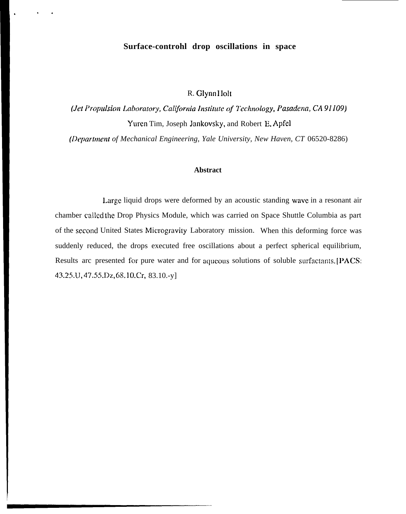# Surface-controhl drop oscillations in space

R. Glynn Holt

(Jet Propulsion Laboratory, California Institute of Technology, Pasadena, CA 91109) Yuren Tim, Joseph Jankovsky, and Robert E. Apfel

(Department of Mechanical Engineering, Yale University, New Haven, CT 06520-8286)

### **Abstract**

Large liquid drops were deformed by an acoustic standing wave in a resonant air chamber called the Drop Physics Module, which was carried on Space Shuttle Columbia as part of the second United States Microgravity Laboratory mission. When this deforming force was suddenly reduced, the drops executed free oscillations about a perfect spherical equilibrium, Results arc presented for pure water and for aqueous solutions of soluble surfactants. [PACS: 43.25.U, 47.55.Dz, 68.10.Cr, 83.10.-y]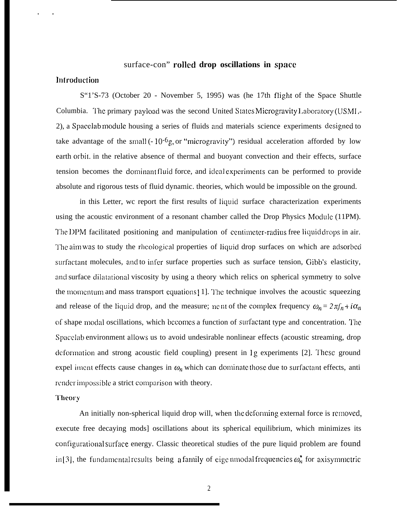## surface-con" **rolled drop oscillations in space**

## **lnfroducticm**

. .

S"1'S-73 (October 20 - November 5, 1995) was (he 17th flight of the Space Shuttle Columbia. The primary payload was the second United States Microgravity Laboratory (USMI,-2), a Spacclab module housing a series of fluids and materials science experiments clesigned to take advantage of the small  $(-10<sup>-6</sup>g, or "microgravity")$  residual acceleration afforded by low earth orbit. in the relative absence of thermal and buoyant convection and their effects, surface tension becomes the dominant fluid force, and ideal experiments can be performed to provide absolute and rigorous tests of fluid dynamic. theories, which would be impossible on the ground.

in this Letter, we report the first results of liquid surface characterization experiments using the acoustic environment of a resonant chamber called the Drop Physics Module (11PM). The DPM facilitated positioning and manipulation of centimeter-radius free liquid drops in air. The aim was to study the rheological properties of liquid drop surfaces on which are adsorbed surfactant molecules, and to infer surface properties such as surface tension, Gibb's elasticity, and surface dilatational viscosity by using a theory which relics on spherical symmetry to solve the momentum and mass transport equations [1]. The technique involves the acoustic squeezing and release of the liquid drop, and the measure; ne. nt of the complex frequency  $\omega_n = 2\pi f_n + i\alpha_n$ of shape modal oscillations, which becomes a function of surfactant type and concentration. The Spacclab environment allows us to avoid undesirable nonlinear effects (acoustic streaming, drop deformation and strong acoustic field coupling) present in 1g experiments [2]. These ground expel iment effects cause changes in  $\omega_n$  which can dominate those due to surfactant effects, anti render impossible a strict comparison with theory.

#### Theory

An initially non-spherical liquid drop will, when the deforming external force is removed, execute free decaying mods] oscillations about its spherical equilibrium, which minimizes its configurational surface energy. Classic theoretical studies of the pure liquid problem are found in [3], the fundamental results being a family of eige nmodal frequencies  $\omega_n^*$  for axisymmetric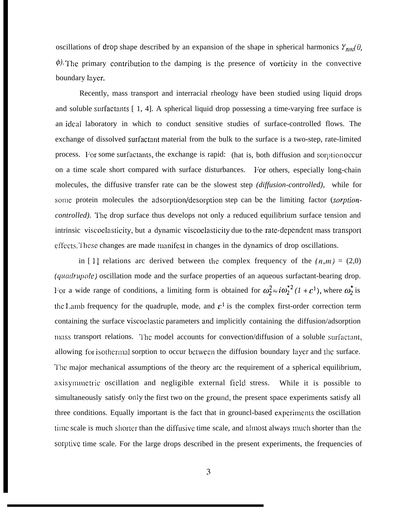oscillations of drop shape described by an expansion of the shape in spherical harmonics  $Y_{nm}(\theta)$ ,  $\phi$ . The primary contribution to the damping is the presence of vorticity in the convective boundary layer.

Recently, mass transport and interracial rheology have been studied using liquid drops and soluble surfactants [ 1, 4]. A spherical liquid drop possessing a time-varying free surface is an ideal laboratory in which to conduct sensitive studies of surface-controlled flows. The exchange of dissolved surfactant material from the bulk to the surface is a two-step, rate-limited process. For some surfactants, the exchange is rapid: (hat is, both diffusion and sorption occur on a time scale short compared with surface disturbances. For others, especially long-chain molecules, the diffusive transfer rate can be the slowest step *(diffusion-controlled),* while for some protein molecules the adsorption/desorption step can be the limiting factor *(sorptioncontrolled).* The drop surface thus develops not only a reduced equilibrium surface tension and intrinsic viscoelasticity, but a dynamic viscoelasticity due to the rate-dependent mass transport effects. These changes are made manifest in changes in the dynamics of drop oscillations.

in [1] relations arc derived between the complex frequency of the  $(n,m) = (2,0)$ *(quadrupole)* oscillation mode and the surface properties of an aqueous surfactant-bearing drop. For a wide range of conditions, a limiting form is obtained for  $\omega_2^2 \approx i \omega_2^{*2} (1 + \varepsilon^1)$ , where  $\omega_2^*$  is the Lamb frequency for the quadruple, mode, and  $\varepsilon^1$  is the complex first-order correction term containing the surface viscoclastic parameters and implicitly containing the diffusion/adsorption mass transport relations. The model accounts for convection/diffusion of a soluble surfactant, allowing for isothermal sorption to occur between the diffusion boundary layer and the surface. '1'hc major mechanical assumptions of the theory arc the requirement of a spherical equilibrium, axisymmetric oscillation and negligible external field stress. While it is possible to simultaneously satisfy only the first two on the ground, the present space experiments satisfy all three conditions. Equally important is the fact that in grouncl-based cxpcrimcnts the oscillation time scale is much shorter than the diffusive time scale, and almost always much shorter than the sorptive time scale. For the large drops described in the present experiments, the frequencies of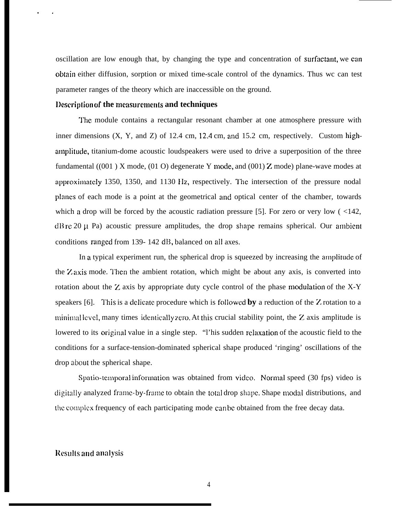oscillation are low enough that, by changing the type and concentration of surfactant, we can obtain either diffusion, sorption or mixed time-scale control of the dynamics. Thus wc can test parameter ranges of the theory which are inaccessible on the ground.

### **l)cscriplion** of **the measurcmenk and techniques**

. .

**"Me** module contains a rectangular resonant chamber at one atmosphere pressure with inner dimensions (X, Y, and Z) of 12.4 cm, 12.4 cm, and 15.2 cm, respectively. Custom highamplitude, titanium-dome acoustic loudspeakers were used to drive a superposition of the three fundamental  $((001)$  X mode,  $(01$  O) degenerate Y mode, and  $(001)$  Z mode) plane-wave modes at approximately 1350, 1350, and 1130 Hz, respectively. The intersection of the pressure nodal planes of each mode is a point at the geometrical and optical center of the chamber, towards which a drop will be forced by the acoustic radiation pressure [5]. For zero or very low  $\left($  <142,  $dB$  re 20  $\mu$  Pa) acoustic pressure amplitudes, the drop shape remains spherical. Our ambient conditions ranged from 139- 142 dB, balanced on all axes.

In a typical experiment run, the spherical drop is squeezed by increasing the amplitude of the Z axis mode. Then the ambient rotation, which might be about any axis, is converted into rotation about the Z axis by appropriate duty cycle control of the phase modulation of the X-Y speakers [6]. This is a delicate procedure which is followed by a reduction of the Z rotation to a minimal level, many times identically zero. At this crucial stability point, the  $Z$  axis amplitude is lowered to its original value in a single step. "I' his sudden relaxation of the acoustic field to the conditions for a surface-tension-dominated spherical shape produced 'ringing' oscillations of the drop about the spherical shape.

Spatio-temporal information was obtained from video. Normal speed (30 fps) video is digitally analyzed frame-by-frame to obtain the total drop shape. Shape modal distributions, and the complex frequency of each participating mode can be obtained from the free decay data.

#### **Results** and **anajysis**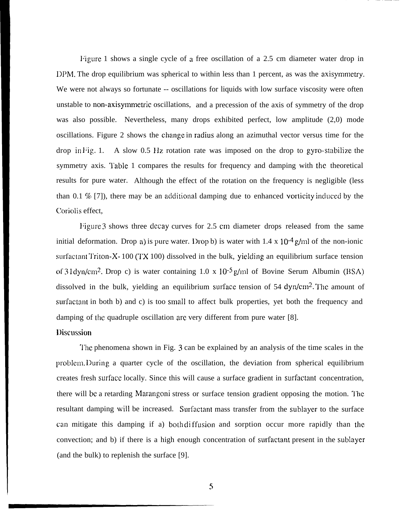Figure 1 shows a single cycle of a free oscillation of a 2.5 cm diameter water drop in 11PM. The drop equilibrium was spherical to within less than 1 percent, as was the axisymmetry. We were not always so fortunate -- oscillations for liquids with low surface viscosity were often unstable to non-axisymmetric oscillations, and a precession of the axis of symmetry of the drop was also possible. Nevertheless, many drops exhibited perfect, low amplitude (2,0) mode oscillations. Figure 2 shows the change in radius along an azimuthal vector versus time for the drop in Fig. 1. A slow  $0.5$  Hz rotation rate was imposed on the drop to gyro-stabilize the symmetry axis. Table 1 compares the results for frequency and damping with the theoretical results for pure water. Although the effect of the rotation on the frequency is negligible (less than 0.1  $\%$  [7]), there may be an additional damping due to enhanced vorticity induced by the Coriolis effect,

Figure 3 shows three decay curves for 2.5 cm diameter drops released from the same initial deformation. Drop a) is pure water. Drop b) is water with  $1.4 \times 10^{-4}$  g/ml of the non-ionic surfactant Triton-X- 100 (TX 100) dissolved in the bulk, yielding an equilibrium surface tension of 31 dyn/cm<sup>2</sup>. Drop c) is water containing  $1.0 \times 10^{-5}$  g/ml of Bovine Serum Albumin (BSA) dissolved in the bulk, yielding an equilibrium surface tension of 54 dyn/cm<sup>2</sup>. The amount of surfactant in both b) and c) is too small to affect bulk properties, yet both the frequency and damping of the quadruple oscillation arc very different from pure water [8].

## **I)iscussion**

**"1'he** phenomena shown in Fig. 3 can be explained by an analysis of the time scales in the problem. During a quarter cycle of the oscillation, the deviation from spherical equilibrium creates fresh surface locally. Since this will cause a surface gradient in surfactant concentration, there will be a retarding Marangoni stress or surface tension gradient opposing the motion. The resultant damping will be increased. Surfactant mass transfer from the sublayer to the surface can mitigate this damping if a) both diffusion and sorption occur more rapidly than the convection; and b) if there is a high enough concentration of surfactant present in the sublayer (and the bulk) to replenish the surface [9].

s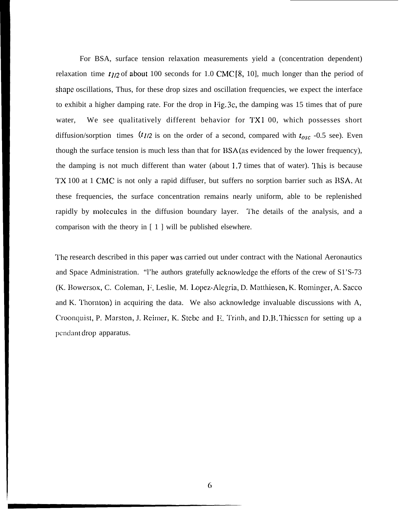For BSA, surface tension relaxation measurements yield a (concentration dependent) relaxation time  $t_{1/2}$  of about 100 seconds for 1.0 CMC [8, 10], much longer than the period of shape oscillations, Thus, for these drop sizes and oscillation frequencies, we expect the interface to exhibit a higher damping rate. For the drop in Fig. 3c, the damping was 15 times that of pure water, We see qualitatively different behavior for TX1 00, which possesses short diffusion/sorption times  $(t_{1/2}$  is on the order of a second, compared with  $t_{osc}$  -0.5 see). Even though the surface tension is much less than that for BSA (as evidenced by the lower frequency), the damping is not much different than water (about 1.7 times that of water). This is because TX 100 at 1 CMC is not only a rapid diffuser, but suffers no sorption barrier such as BSA. At these frequencies, the surface concentration remains nearly uniform, able to be replenished rapidly by molecules in the diffusion boundary layer. The details of the analysis, and a comparison with the theory in [ 1 ] will be published elsewhere.

'1'he research described in this paper was carried out under contract with the National Aeronautics and Space Administration. "I'he authors gratefully acknowledge the efforts of the crew of S1'S-73 (K. Bowersox, C. Coleman, F. Leslie, M. Lopez-Alegria, D. Matthiesen, K. Rominger, A. Sacco and K. Thornton) in acquiring the data. We also acknowledge invaluable discussions with A, Croonquist, P. Marston, J. Reimer, K. Stebe and E. Trinh, and D.B. Thiessen for setting up a pendant drop apparatus.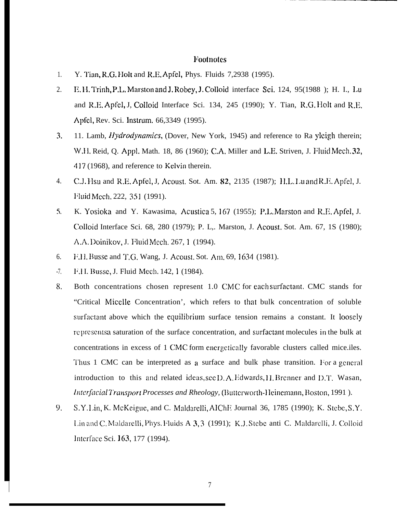## Footnotes

- Y. Tian, R.G. Holt and R.E. Apfel, Phys. Fluids 7,2938 (1995).  $1.$
- E.H. Trinh, P.L. Marston and J. Robey, J. Colloid interface Sci. 124, 95(1988); H. I., Lu 2. and R.E. Apfel, J, Colloid Interface Sci. 134, 245 (1990); Y. Tian, R.G. Holt and R.E. Apfel, Rev. Sci. Instrum. 66,3349 (1995).
- $3.$ 11. Lamb, *Hydrodynamics*, (Dover, New York, 1945) and reference to Ra yleigh therein; W.H. Reid, Q. Appl. Math. 18, 86 (1960); C.A. Miller and L.E. Striven, J. Fluid Mech. 32, 417 (1968), and reference to Kelvin therein.
- $\overline{4}$ . C.J. Hsu and R.E. Apfel, J. Acoust. Sot. Am. 82, 2135 (1987); H.L. Luand R.E. Apfel, J. Fluid Mech. 222, 351 (1991).
- $5<sub>1</sub>$ K. Yosioka and Y. Kawasima, Acustica 5, 167 (1955); P.L. Marston and R.E. Apfel, J. Colloid Interface Sci. 68, 280 (1979); P. L., Marston, J. Acoust. Sot. Am. 67, 1S (1980); A.A. Doinikov, J. Fluid Mech. 267, 1 (1994).
- 6. F.H. Busse and T.G. Wang, J. Acoust. Sot. Am. 69, 1634 (1981).
- $-7.$ F.I.I. Busse, J. Fluid Mech. 142, 1 (1984).
- 8. Both concentrations chosen represent 1.0 CMC for each surfactant. CMC stands for "Critical Micelle Concentration', which refers to that bulk concentration of soluble surfactant above which the equilibrium surface tension remains a constant. It loosely represents a saturation of the surface concentration, and surfactant molecules in the bulk at concentrations in excess of 1 CMC form energetically favorable clusters called mice.iles. Thus 1 CMC can be interpreted as a surface and bulk phase transition. For a general introduction to this and related ideas, see D.A. Edwards, H. Brenner and D.T. Wasan, Interfacial Transport Processes and Rheology, (Butterworth-Heinemann, Boston, 1991).
- 9. S.Y.Lin, K. McKeigue, and C. Maldarelli, AIChE Journal 36, 1785 (1990); K. Stebe, S.Y. Lin and C. Maldarelli, Phys. Fluids A 3, 3 (1991); K.J. Stebe anti C. Maldarelli, J. Colloid Interface Sci. 163, 177 (1994).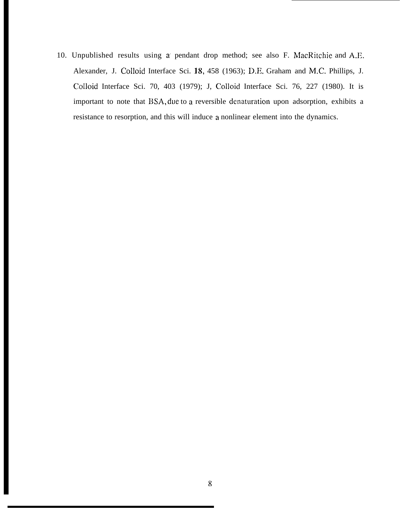10. Unpublished results using a pendant drop method; see also F. MacRitchie and A.E. Alexander, J. Colloid Interface Sci. 18, 458 (1963); D.E. Graham and M.C. Phillips, J. Colloid Interface Sci. 70, 403 (1979); J, Colloid Interface Sci. 76, 227 (1980). It is important to note that BSA, due to a reversible denaturation upon adsorption, exhibits a resistance to resorption, and this will induce a nonlinear element into the dynamics.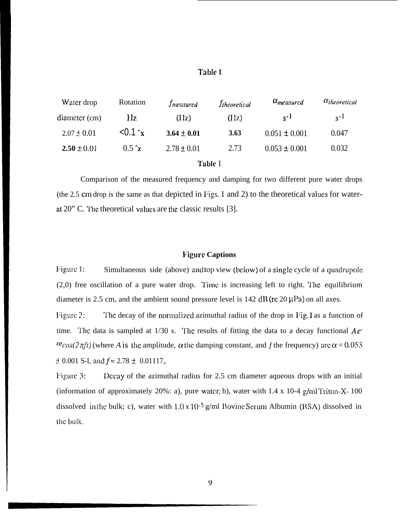## **Table 1**

| Water drop      | Rotation     | <i>Imeasured</i> | <i>Itheoretical</i> | $\alpha_{measured}$ | $\alpha_{theoretical}$ |
|-----------------|--------------|------------------|---------------------|---------------------|------------------------|
| diameter (cm)   | Hz.          | (IIz)            | (IIz)               | $S^{-1}$            | $S^{-1}$               |
| $2.07 \pm 0.01$ | < 0.1 x      | $3.64 \pm 0.01$  | 3.63                | $0.051 \pm 0.001$   | 0.047                  |
| $2.50 \pm 0.01$ | $0.5 \gamma$ | $2.78 \pm 0.01$  | 2.73                | $0.053 \pm 0.001$   | 0.032                  |

## **Table** 1

Comparison of the measured frequency and damping for two different pure water drops (the 2.5 cm drop is the same as that depicted in Figs. 1 and 2) to the theoretical values for waterat  $20$ " C. The theoretical values are the classic results [3].

### **l'igurc Captions**

Figure 1: Simultaneous side (above) and top view (below) of a single cycle of a quadrupole  $(2,0)$  free oscillation of a pure water drop. Time is increasing left to right. The equilibrium diameter is 2.5 cm, and the ambient sound pressure level is  $142 \text{ dB}$  (re  $20 \mu\text{Pa}$ ) on all axes.

Figure 2: The decay of the normalized azimuthal radius of the drop in Fig. 1 as a function of time. The data is sampled at  $1/30$  s. The results of fitting the data to a decay functional  $Ae^{\pi}$  $\alpha$ cos( $2\pi ft$ ) (where *A* is the amplitude,  $\alpha$  the damping constant, and *f* the frequency) are  $\alpha$  = 0.053  $\pm$  0.001 S-1, and  $f = 2.78 \pm 0.01117$ ,.

Figure 3: IDecay of the azimuthal radius for 2.5 cm diameter aqueous drops with an initial (information of approximately 20%: a), pure water; b), water with  $1.4 \times 10^{-4}$  g/mlTriton-X- 100 dissolved in the bulk; c), water with  $1.0 \times 10^{-5}$  g/ml Bovine Serum Albumin (BSA) dissolved in the bulk.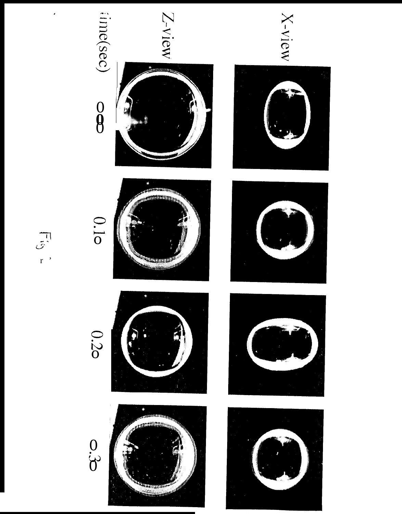$\begin{smallmatrix} 0 \\ 0 \\ 0 \end{smallmatrix}$ 



















 $\frac{1}{\sqrt{5}}$ ,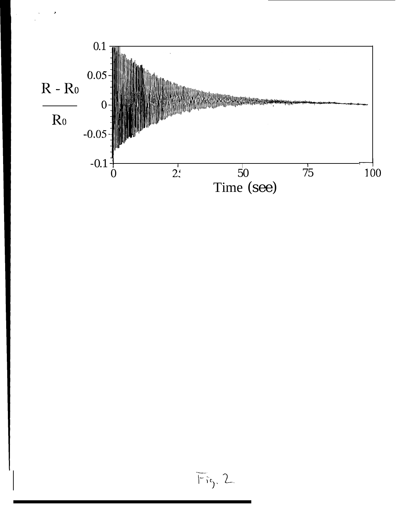